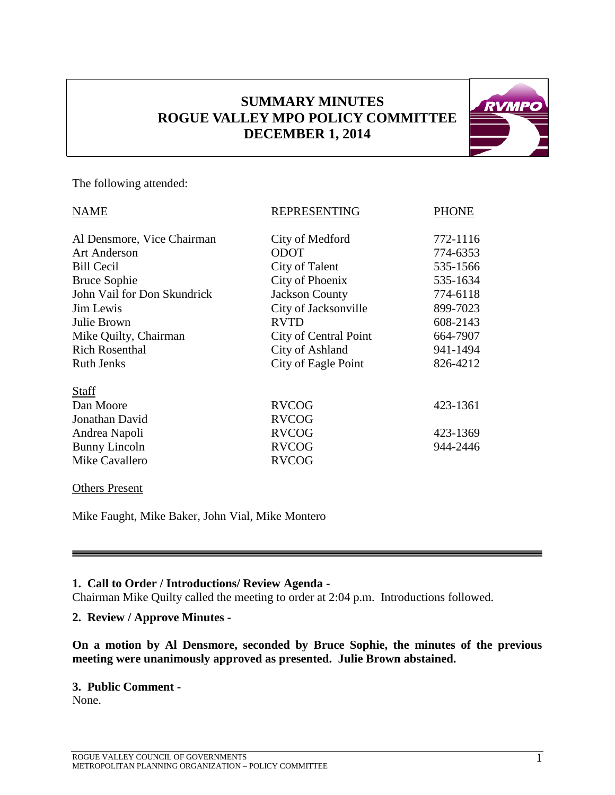# **SUMMARY MINUTES ROGUE VALLEY MPO POLICY COMMITTEE DECEMBER 1, 2014**



The following attended:

| <b>NAME</b>                 | <b>REPRESENTING</b>   | <b>PHONE</b> |
|-----------------------------|-----------------------|--------------|
| Al Densmore, Vice Chairman  | City of Medford       | 772-1116     |
| <b>Art Anderson</b>         | <b>ODOT</b>           | 774-6353     |
| <b>Bill Cecil</b>           | City of Talent        | 535-1566     |
| <b>Bruce Sophie</b>         | City of Phoenix       | 535-1634     |
| John Vail for Don Skundrick | <b>Jackson County</b> | 774-6118     |
| Jim Lewis                   | City of Jacksonville  | 899-7023     |
| Julie Brown                 | <b>RVTD</b>           | 608-2143     |
| Mike Quilty, Chairman       | City of Central Point | 664-7907     |
| <b>Rich Rosenthal</b>       | City of Ashland       | 941-1494     |
| <b>Ruth Jenks</b>           | City of Eagle Point   | 826-4212     |
| <b>Staff</b>                |                       |              |
| Dan Moore                   | <b>RVCOG</b>          | 423-1361     |
| Jonathan David              | <b>RVCOG</b>          |              |
| Andrea Napoli               | <b>RVCOG</b>          | 423-1369     |
| Bunny Lincoln               | <b>RVCOG</b>          | 944-2446     |
| Mike Cavallero              | <b>RVCOG</b>          |              |

#### Others Present

Mike Faught, Mike Baker, John Vial, Mike Montero

## **1. Call to Order / Introductions/ Review Agenda -**

Chairman Mike Quilty called the meeting to order at 2:04 p.m. Introductions followed.

## **2. Review / Approve Minutes -**

**On a motion by Al Densmore, seconded by Bruce Sophie, the minutes of the previous meeting were unanimously approved as presented. Julie Brown abstained.**

#### **3. Public Comment -**

None.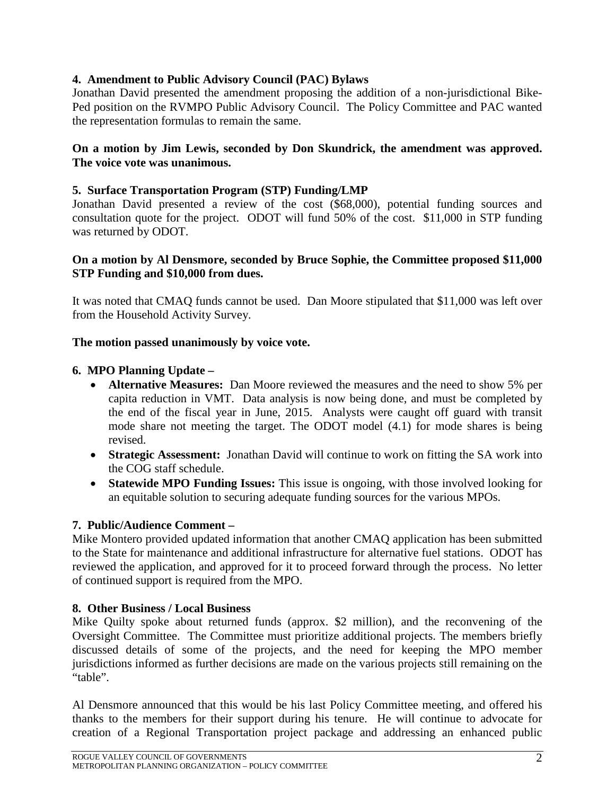## **4. Amendment to Public Advisory Council (PAC) Bylaws**

Jonathan David presented the amendment proposing the addition of a non-jurisdictional Bike-Ped position on the RVMPO Public Advisory Council. The Policy Committee and PAC wanted the representation formulas to remain the same.

#### **On a motion by Jim Lewis, seconded by Don Skundrick, the amendment was approved. The voice vote was unanimous.**

## **5. Surface Transportation Program (STP) Funding/LMP**

Jonathan David presented a review of the cost (\$68,000), potential funding sources and consultation quote for the project. ODOT will fund 50% of the cost. \$11,000 in STP funding was returned by ODOT.

## **On a motion by Al Densmore, seconded by Bruce Sophie, the Committee proposed \$11,000 STP Funding and \$10,000 from dues.**

It was noted that CMAQ funds cannot be used. Dan Moore stipulated that \$11,000 was left over from the Household Activity Survey.

## **The motion passed unanimously by voice vote.**

## **6. MPO Planning Update –**

- **Alternative Measures:** Dan Moore reviewed the measures and the need to show 5% per capita reduction in VMT. Data analysis is now being done, and must be completed by the end of the fiscal year in June, 2015. Analysts were caught off guard with transit mode share not meeting the target. The ODOT model (4.1) for mode shares is being revised.
- **Strategic Assessment:** Jonathan David will continue to work on fitting the SA work into the COG staff schedule.
- **Statewide MPO Funding Issues:** This issue is ongoing, with those involved looking for an equitable solution to securing adequate funding sources for the various MPOs.

## **7. Public/Audience Comment –**

Mike Montero provided updated information that another CMAQ application has been submitted to the State for maintenance and additional infrastructure for alternative fuel stations. ODOT has reviewed the application, and approved for it to proceed forward through the process. No letter of continued support is required from the MPO.

## **8. Other Business / Local Business**

Mike Quilty spoke about returned funds (approx. \$2 million), and the reconvening of the Oversight Committee. The Committee must prioritize additional projects. The members briefly discussed details of some of the projects, and the need for keeping the MPO member jurisdictions informed as further decisions are made on the various projects still remaining on the "table".

Al Densmore announced that this would be his last Policy Committee meeting, and offered his thanks to the members for their support during his tenure. He will continue to advocate for creation of a Regional Transportation project package and addressing an enhanced public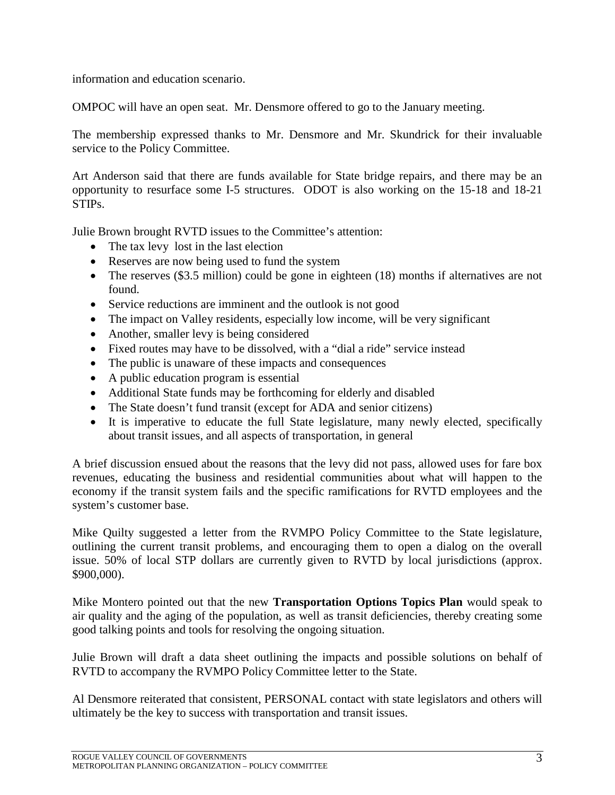information and education scenario.

OMPOC will have an open seat. Mr. Densmore offered to go to the January meeting.

The membership expressed thanks to Mr. Densmore and Mr. Skundrick for their invaluable service to the Policy Committee.

Art Anderson said that there are funds available for State bridge repairs, and there may be an opportunity to resurface some I-5 structures. ODOT is also working on the 15-18 and 18-21 STIPs.

Julie Brown brought RVTD issues to the Committee's attention:

- The tax levy lost in the last election
- Reserves are now being used to fund the system
- The reserves (\$3.5 million) could be gone in eighteen (18) months if alternatives are not found.
- Service reductions are imminent and the outlook is not good
- The impact on Valley residents, especially low income, will be very significant
- Another, smaller levy is being considered
- Fixed routes may have to be dissolved, with a "dial a ride" service instead
- The public is unaware of these impacts and consequences
- A public education program is essential
- Additional State funds may be forthcoming for elderly and disabled
- The State doesn't fund transit (except for ADA and senior citizens)
- It is imperative to educate the full State legislature, many newly elected, specifically about transit issues, and all aspects of transportation, in general

A brief discussion ensued about the reasons that the levy did not pass, allowed uses for fare box revenues, educating the business and residential communities about what will happen to the economy if the transit system fails and the specific ramifications for RVTD employees and the system's customer base.

Mike Quilty suggested a letter from the RVMPO Policy Committee to the State legislature, outlining the current transit problems, and encouraging them to open a dialog on the overall issue. 50% of local STP dollars are currently given to RVTD by local jurisdictions (approx. \$900,000).

Mike Montero pointed out that the new **Transportation Options Topics Plan** would speak to air quality and the aging of the population, as well as transit deficiencies, thereby creating some good talking points and tools for resolving the ongoing situation.

Julie Brown will draft a data sheet outlining the impacts and possible solutions on behalf of RVTD to accompany the RVMPO Policy Committee letter to the State.

Al Densmore reiterated that consistent, PERSONAL contact with state legislators and others will ultimately be the key to success with transportation and transit issues.